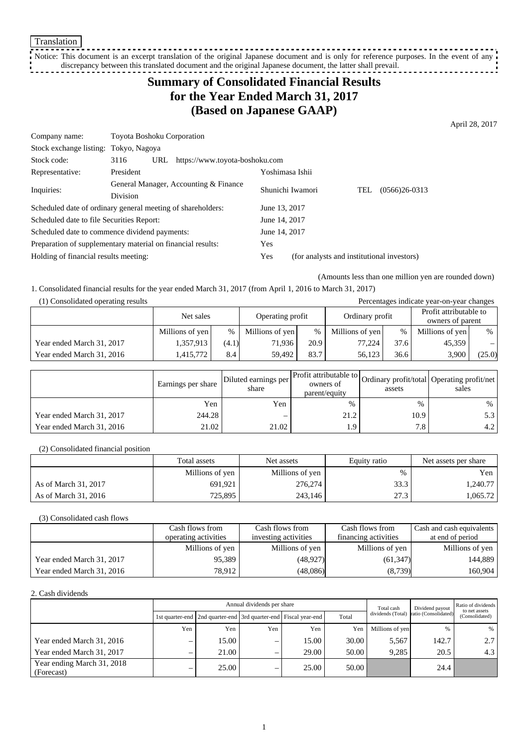Translation

-----------------------------Notice: This document is an excerpt translation of the original Japanese document and is only for reference purposes. In the event of any discrepancy between this translated document and the original Japanese document, the latter shall prevail.

# **Summary of Consolidated Financial Results for the Year Ended March 31, 2017 (Based on Japanese GAAP)**

April 28, 2017

| Company name:                                               | <b>Toyota Boshoku Corporation</b> |                                       |                                            |  |     |                 |
|-------------------------------------------------------------|-----------------------------------|---------------------------------------|--------------------------------------------|--|-----|-----------------|
| Stock exchange listing: Tokyo, Nagoya                       |                                   |                                       |                                            |  |     |                 |
| Stock code:                                                 | 3116<br>URL                       | https://www.toyota-boshoku.com        |                                            |  |     |                 |
| Representative:                                             | President                         |                                       | Yoshimasa Ishii                            |  |     |                 |
| Inquiries:                                                  |                                   | General Manager, Accounting & Finance | Shunichi Iwamori                           |  | TEL | $(0566)26-0313$ |
|                                                             | <b>Division</b>                   |                                       |                                            |  |     |                 |
| Scheduled date of ordinary general meeting of shareholders: |                                   |                                       | June 13, 2017                              |  |     |                 |
| Scheduled date to file Securities Report:                   |                                   |                                       | June 14, 2017                              |  |     |                 |
| Scheduled date to commence dividend payments:               |                                   |                                       | June 14, 2017                              |  |     |                 |
| Preparation of supplementary material on financial results: |                                   | Yes                                   |                                            |  |     |                 |
| Holding of financial results meeting:                       |                                   | Yes                                   | (for analysts and institutional investors) |  |     |                 |

(Amounts less than one million yen are rounded down)

1. Consolidated financial results for the year ended March 31, 2017 (from April 1, 2016 to March 31, 2017)

| (1) Consolidated operating results<br>Percentages indicate year-on-year changes |                 |       |                  |      |                 |      |                        |        |
|---------------------------------------------------------------------------------|-----------------|-------|------------------|------|-----------------|------|------------------------|--------|
|                                                                                 | Net sales       |       | Operating profit |      | Ordinary profit |      | Profit attributable to |        |
|                                                                                 |                 |       |                  |      |                 |      | owners of parent       |        |
|                                                                                 | Millions of yen | %     | Millions of yen  | $\%$ | Millions of yen | $\%$ | Millions of yen        | %      |
| Year ended March 31, 2017                                                       | 1,357,913       | (4.1) | 71.936           | 20.9 | 77,224          | 37.6 | 45.359                 |        |
| Year ended March 31, 2016                                                       | 1.415.772       | 8.4   | 59.492           | 83.7 | 56.123          | 36.6 | 3.900                  | (25.0) |

|                           | Earnings per share | Diluted earnings per<br>share | Profit attributable to<br>owners of<br>parent/equity | assets           | Ordinary profit/total   Operating profit/net  <br>sales |
|---------------------------|--------------------|-------------------------------|------------------------------------------------------|------------------|---------------------------------------------------------|
|                           | Yen                | Yen                           | $\%$                                                 | $\%$             | %                                                       |
| Year ended March 31, 2017 | 244.28             | -                             | 21.2                                                 | 10.9             | 5.3                                                     |
| Year ended March 31, 2016 | 21.02              | 21.02                         | 0.۱                                                  | 7.8 <sub>1</sub> | 4.2                                                     |

(2) Consolidated financial position

|                      | Total assets    | Net assets      | Equity ratio | Net assets per share |
|----------------------|-----------------|-----------------|--------------|----------------------|
|                      | Millions of yen | Millions of yen | %            | Yen                  |
| As of March 31, 2017 | 691.921         | 276,274         | 33.3         | 1.240.77             |
| As of March 31, 2016 | 725,895         | 243.146         | 27.3         | 1,065.72             |

(3) Consolidated cash flows

|                           | Cash flows from      | Cash flows from      | Cash flows from      | Cash and cash equivalents |
|---------------------------|----------------------|----------------------|----------------------|---------------------------|
|                           | operating activities | investing activities | financing activities | at end of period          |
|                           | Millions of yen      | Millions of yen      | Millions of yen      | Millions of yen           |
| Year ended March 31, 2017 | 95.389               | (48, 927)            | (61, 347)            | 144,889                   |
| Year ended March 31, 2016 | 78.912               | (48,086)             | (8,739)              | 160,904                   |

2. Cash dividends

|                                          | Annual dividends per share |                                                                       |                          |       |       | Total cash        | Dividend payout      | Ratio of dividends<br>to net assets |
|------------------------------------------|----------------------------|-----------------------------------------------------------------------|--------------------------|-------|-------|-------------------|----------------------|-------------------------------------|
|                                          |                            | 1st quarter-end   2nd quarter-end   3rd quarter-end   Fiscal year-end |                          |       | Total | dividends (Total) | ratio (Consolidated) | (Consolidated)                      |
|                                          | Yen                        | Yen                                                                   | Yen                      | Yen   | Yen   | Millions of yen   | %                    | %                                   |
| Year ended March 31, 2016                | $\overline{\phantom{0}}$   | 15.00                                                                 | -                        | 15.00 | 30.00 | 5.567             | 142.7                | 2.7                                 |
| Year ended March 31, 2017                | $\overline{\phantom{0}}$   | 21.00                                                                 | -                        | 29.00 | 50.00 | 9.285             | 20.5                 | 4.3                                 |
| Year ending March 31, 2018<br>(Forecast) | $\overline{\phantom{0}}$   | 25.00                                                                 | $\overline{\phantom{0}}$ | 25.00 | 50.00 |                   | 24.4                 |                                     |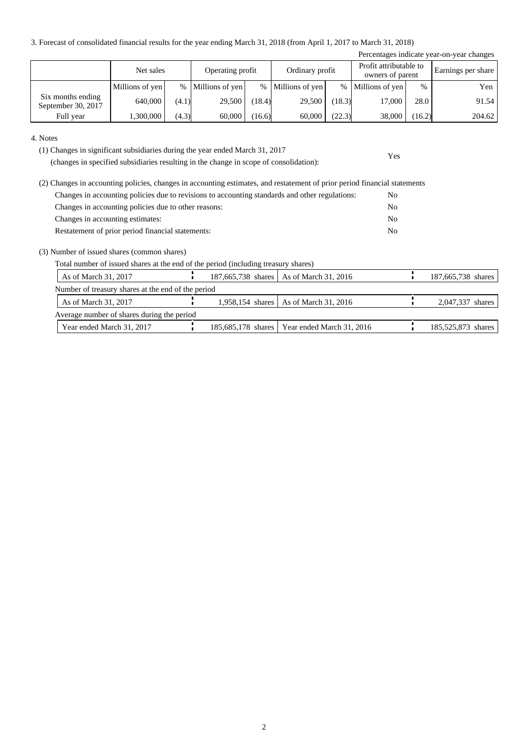3. Forecast of consolidated financial results for the year ending March 31, 2018 (from April 1, 2017 to March 31, 2018)

|                                         |                 |       |                  |        |                   |        |                                            |        | Percentages indicate year-on-year changes |
|-----------------------------------------|-----------------|-------|------------------|--------|-------------------|--------|--------------------------------------------|--------|-------------------------------------------|
|                                         | Net sales       |       | Operating profit |        | Ordinary profit   |        | Profit attributable to<br>owners of parent |        | Earnings per share                        |
|                                         | Millions of yen | $\%$  | Millions of yen  |        | % Millions of yen |        | % Millions of yen                          | $\%$   | Yen                                       |
| Six months ending<br>September 30, 2017 | 640,000         | (4.1) | 29,500           | (18.4) | 29,500            | (18.3) | 17,000                                     | 28.0   | 91.54                                     |
| Full year                               | 1,300,000       | (4.3) | 60,000           | 16.6)  | 60,000            | (22.3) | 38,000                                     | (16.2) | 204.62                                    |

Yes

4. Notes

(1) Changes in significant subsidiaries during the year ended March 31, 2017

(changes in specified subsidiaries resulting in the change in scope of consolidation):

| (2) Changes in accounting policies, changes in accounting estimates, and restatement of prior period financial statements |                |
|---------------------------------------------------------------------------------------------------------------------------|----------------|
| Changes in accounting policies due to revisions to accounting standards and other regulations:                            | No.            |
| Changes in accounting policies due to other reasons:                                                                      | No             |
| Changes in accounting estimates:                                                                                          | No             |
| Restatement of prior period financial statements:                                                                         | N <sub>0</sub> |

(3) Number of issued shares (common shares)

Total number of issued shares at the end of the period (including treasury shares)

| As of March 31, 2017                               |  | 187,665,738 shares   As of March 31, 2016      | 187,665,738 shares |
|----------------------------------------------------|--|------------------------------------------------|--------------------|
| Number of treasury shares at the end of the period |  |                                                |                    |
| As of March 31, 2017                               |  | 1,958,154 shares   As of March 31, 2016        | 2,047,337 shares   |
| Average number of shares during the period         |  |                                                |                    |
| Year ended March 31, 2017                          |  | 185,685,178 shares   Year ended March 31, 2016 | 185,525,873 shares |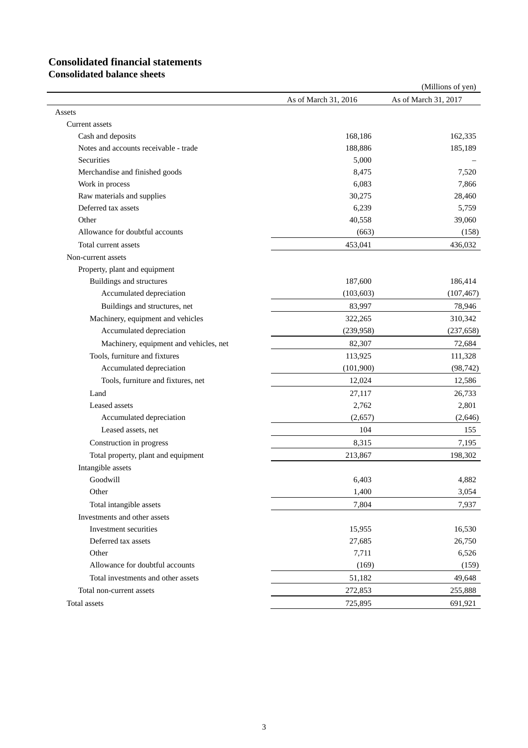# **Consolidated financial statements**

**Consolidated balance sheets**

|                                        |                      | (Millions of yen)    |
|----------------------------------------|----------------------|----------------------|
|                                        | As of March 31, 2016 | As of March 31, 2017 |
| Assets                                 |                      |                      |
| Current assets                         |                      |                      |
| Cash and deposits                      | 168,186              | 162,335              |
| Notes and accounts receivable - trade  | 188,886              | 185,189              |
| Securities                             | 5,000                |                      |
| Merchandise and finished goods         | 8,475                | 7,520                |
| Work in process                        | 6,083                | 7,866                |
| Raw materials and supplies             | 30,275               | 28,460               |
| Deferred tax assets                    | 6,239                | 5,759                |
| Other                                  | 40,558               | 39,060               |
| Allowance for doubtful accounts        | (663)                | (158)                |
| Total current assets                   | 453,041              | 436,032              |
| Non-current assets                     |                      |                      |
| Property, plant and equipment          |                      |                      |
| Buildings and structures               | 187,600              | 186,414              |
| Accumulated depreciation               | (103, 603)           | (107, 467)           |
| Buildings and structures, net          | 83,997               | 78,946               |
| Machinery, equipment and vehicles      | 322,265              | 310,342              |
| Accumulated depreciation               | (239, 958)           | (237, 658)           |
| Machinery, equipment and vehicles, net | 82,307               | 72,684               |
| Tools, furniture and fixtures          | 113,925              | 111,328              |
| Accumulated depreciation               | (101,900)            | (98, 742)            |
| Tools, furniture and fixtures, net     | 12,024               | 12,586               |
| Land                                   | 27,117               | 26,733               |
| Leased assets                          | 2,762                | 2,801                |
| Accumulated depreciation               | (2,657)              | (2,646)              |
| Leased assets, net                     | 104                  | 155                  |
| Construction in progress               | 8,315                | 7,195                |
| Total property, plant and equipment    | 213,867              | 198,302              |
| Intangible assets                      |                      |                      |
| Goodwill                               | 6,403                | 4,882                |
| Other                                  | 1,400                | 3,054                |
| Total intangible assets                | 7,804                | 7,937                |
| Investments and other assets           |                      |                      |
| Investment securities                  | 15,955               | 16,530               |
| Deferred tax assets                    | 27,685               | 26,750               |
| Other                                  | 7,711                | 6,526                |
| Allowance for doubtful accounts        | (169)                | (159)                |
| Total investments and other assets     | 51,182               | 49,648               |
| Total non-current assets               | 272,853              | 255,888              |
| Total assets                           | 725,895              | 691,921              |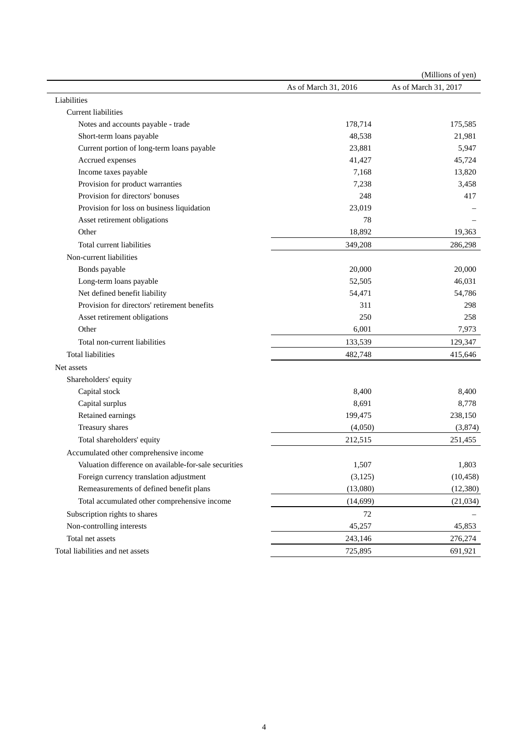|                                                                                   |                              | (Millions of yen)    |
|-----------------------------------------------------------------------------------|------------------------------|----------------------|
|                                                                                   | As of March 31, 2016         | As of March 31, 2017 |
| Liabilities                                                                       |                              |                      |
| <b>Current liabilities</b>                                                        |                              |                      |
| Notes and accounts payable - trade                                                | 178,714                      | 175,585              |
| Short-term loans payable                                                          | 48,538                       | 21,981               |
| Current portion of long-term loans payable                                        | 23,881                       | 5,947                |
| Accrued expenses                                                                  | 41,427                       | 45,724               |
| Income taxes payable                                                              | 7,168                        | 13,820               |
| Provision for product warranties                                                  | 7,238                        | 3,458                |
| Provision for directors' bonuses                                                  | 248                          | 417                  |
| Provision for loss on business liquidation                                        | 23,019                       |                      |
| Asset retirement obligations                                                      | 78                           |                      |
| Other                                                                             | 18,892                       | 19,363               |
| Total current liabilities                                                         | 349,208                      | 286,298              |
| Non-current liabilities                                                           |                              |                      |
| Bonds payable                                                                     | 20,000                       | 20,000               |
| Long-term loans payable                                                           | 52,505                       | 46,031               |
| Net defined benefit liability                                                     | 54,471                       | 54,786               |
| Provision for directors' retirement benefits                                      | 311                          | 298                  |
| Asset retirement obligations                                                      | 250                          | 258                  |
| Other                                                                             | 6,001                        | 7,973                |
| Total non-current liabilities                                                     | 133,539                      | 129,347              |
| <b>Total liabilities</b>                                                          | 482,748                      | 415,646              |
| Net assets                                                                        |                              |                      |
| Shareholders' equity                                                              |                              |                      |
| Capital stock                                                                     | 8,400                        | 8,400                |
| Capital surplus                                                                   | 8,691                        | 8,778                |
| Retained earnings                                                                 | 199,475                      | 238,150              |
| Treasury shares                                                                   | (4,050)                      | (3,874)              |
| Total shareholders' equity                                                        | 212,515                      | 251,455              |
| Accumulated other comprehensive income                                            |                              |                      |
| Valuation difference on available-for-sale securities                             | 1,507                        | 1,803                |
| Foreign currency translation adjustment                                           | (3, 125)                     | (10, 458)            |
| Remeasurements of defined benefit plans                                           | (13,080)                     | (12, 380)            |
| Total accumulated other comprehensive income                                      | (14, 699)                    | (21,034)             |
| Subscription rights to shares                                                     | $72\,$                       |                      |
|                                                                                   |                              | 45,853               |
|                                                                                   |                              | 276,274              |
|                                                                                   |                              | 691,921              |
| Non-controlling interests<br>Total net assets<br>Total liabilities and net assets | 45,257<br>243,146<br>725,895 |                      |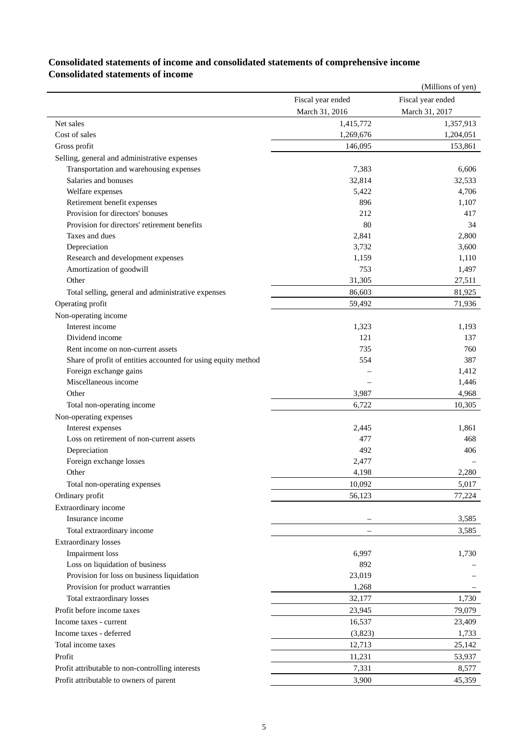### **Consolidated statements of income and consolidated statements of comprehensive income Consolidated statements of income**

|                                                               |                   | (Millions of yen) |
|---------------------------------------------------------------|-------------------|-------------------|
|                                                               | Fiscal year ended | Fiscal year ended |
|                                                               | March 31, 2016    | March 31, 2017    |
| Net sales                                                     | 1,415,772         | 1,357,913         |
| Cost of sales                                                 | 1,269,676         | 1,204,051         |
| Gross profit                                                  | 146,095           | 153,861           |
| Selling, general and administrative expenses                  |                   |                   |
| Transportation and warehousing expenses                       | 7,383             | 6,606             |
| Salaries and bonuses                                          | 32,814            | 32,533            |
| Welfare expenses                                              | 5,422             | 4,706             |
| Retirement benefit expenses                                   | 896               | 1,107             |
| Provision for directors' bonuses                              | 212               | 417               |
| Provision for directors' retirement benefits                  | 80                | 34                |
| Taxes and dues                                                | 2,841             | 2,800             |
| Depreciation                                                  | 3,732             | 3,600             |
| Research and development expenses                             | 1,159             | 1,110             |
| Amortization of goodwill                                      | 753               | 1,497             |
| Other                                                         | 31,305            | 27,511            |
| Total selling, general and administrative expenses            | 86,603            | 81,925            |
| Operating profit                                              | 59,492            | 71,936            |
| Non-operating income                                          |                   |                   |
| Interest income                                               | 1,323             | 1,193             |
| Dividend income                                               | 121               | 137               |
| Rent income on non-current assets                             | 735               | 760               |
| Share of profit of entities accounted for using equity method | 554               | 387               |
| Foreign exchange gains                                        |                   | 1,412             |
| Miscellaneous income                                          |                   | 1,446             |
| Other                                                         | 3,987             | 4,968             |
| Total non-operating income                                    | 6,722             | 10,305            |
| Non-operating expenses                                        |                   |                   |
| Interest expenses                                             | 2,445             | 1,861             |
| Loss on retirement of non-current assets                      | 477               | 468               |
| Depreciation                                                  | 492               | 406               |
| Foreign exchange losses                                       | 2,477             |                   |
| Other                                                         | 4,198             | 2,280             |
| Total non-operating expenses                                  | 10,092            | 5,017             |
| Ordinary profit                                               | 56,123            | 77,224            |
| Extraordinary income                                          |                   |                   |
| Insurance income                                              |                   | 3,585             |
| Total extraordinary income                                    |                   | 3,585             |
| <b>Extraordinary losses</b>                                   |                   |                   |
| <b>Impairment</b> loss                                        | 6,997             | 1,730             |
| Loss on liquidation of business                               | 892               |                   |
| Provision for loss on business liquidation                    | 23,019            |                   |
| Provision for product warranties                              | 1,268             |                   |
| Total extraordinary losses                                    | 32,177            | 1,730             |
| Profit before income taxes                                    | 23,945            | 79,079            |
|                                                               |                   |                   |
| Income taxes - current                                        | 16,537            | 23,409            |
| Income taxes - deferred                                       | (3,823)           | 1,733             |
| Total income taxes                                            | 12,713            | 25,142            |
| Profit                                                        | 11,231            | 53,937            |
| Profit attributable to non-controlling interests              | 7,331             | 8,577             |
| Profit attributable to owners of parent                       | 3,900             | 45,359            |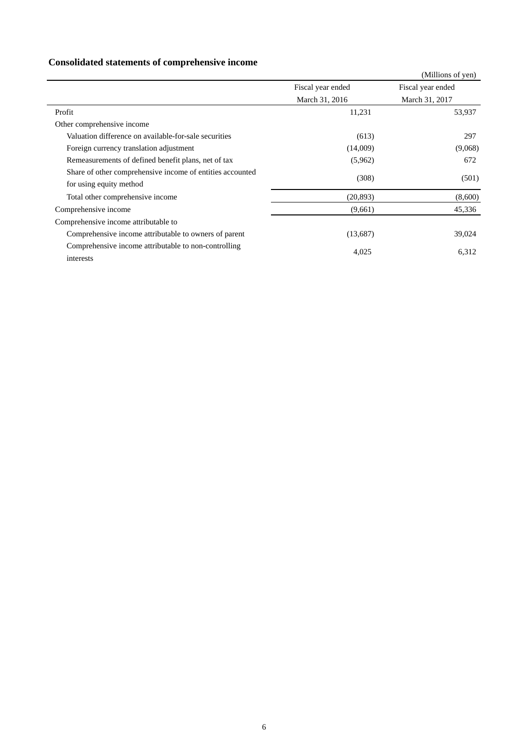## **Consolidated statements of comprehensive income**

|                                                                                      |                   | (Millions of yen) |
|--------------------------------------------------------------------------------------|-------------------|-------------------|
|                                                                                      | Fiscal year ended | Fiscal year ended |
|                                                                                      | March 31, 2016    | March 31, 2017    |
| Profit                                                                               | 11,231            | 53,937            |
| Other comprehensive income                                                           |                   |                   |
| Valuation difference on available-for-sale securities                                | (613)             | 297               |
| Foreign currency translation adjustment                                              | (14,009)          | (9,068)           |
| Remeasurements of defined benefit plans, net of tax                                  | (5,962)           | 672               |
| Share of other comprehensive income of entities accounted<br>for using equity method | (308)             | (501)             |
| Total other comprehensive income                                                     | (20, 893)         | (8,600)           |
| Comprehensive income                                                                 | (9,661)           | 45,336            |
| Comprehensive income attributable to                                                 |                   |                   |
| Comprehensive income attributable to owners of parent                                | (13,687)          | 39,024            |
| Comprehensive income attributable to non-controlling<br>interests                    | 4,025             | 6,312             |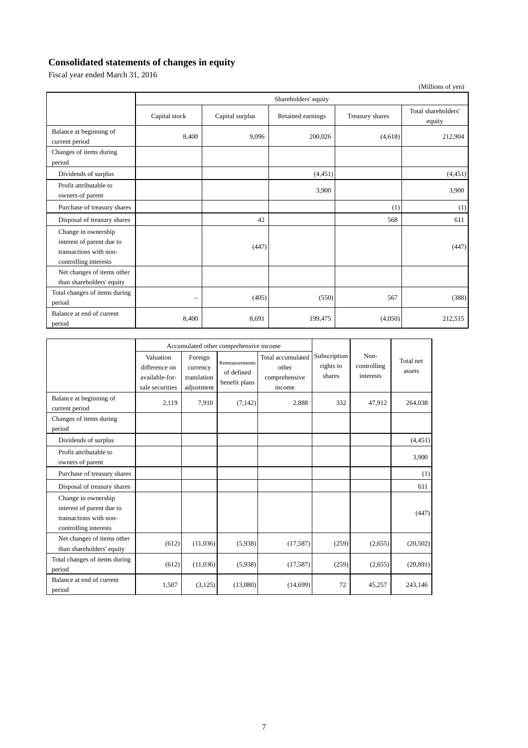## **Consolidated statements of changes in equity**

Fiscal year ended March 31, 2016

|                                                                                                     |                      |                 |                   |                 | (Millions of yen)             |  |  |
|-----------------------------------------------------------------------------------------------------|----------------------|-----------------|-------------------|-----------------|-------------------------------|--|--|
|                                                                                                     | Shareholders' equity |                 |                   |                 |                               |  |  |
|                                                                                                     | Capital stock        | Capital surplus | Retained earnings | Treasury shares | Total shareholders'<br>equity |  |  |
| Balance at beginning of<br>current period                                                           | 8,400                | 9,096           | 200,026           | (4,618)         | 212,904                       |  |  |
| Changes of items during<br>period                                                                   |                      |                 |                   |                 |                               |  |  |
| Dividends of surplus                                                                                |                      |                 | (4,451)           |                 | (4, 451)                      |  |  |
| Profit attributable to<br>owners of parent                                                          |                      |                 | 3,900             |                 | 3,900                         |  |  |
| Purchase of treasury shares                                                                         |                      |                 |                   | (1)             | (1)                           |  |  |
| Disposal of treasury shares                                                                         |                      | 42              |                   | 568             | 611                           |  |  |
| Change in ownership<br>interest of parent due to<br>transactions with non-<br>controlling interests |                      | (447)           |                   |                 | (447)                         |  |  |
| Net changes of items other<br>than shareholders' equity                                             |                      |                 |                   |                 |                               |  |  |
| Total changes of items during<br>period                                                             | -                    | (405)           | (550)             | 567             | (388)                         |  |  |
| Balance at end of current<br>period                                                                 | 8,400                | 8,691           | 199,475           | (4,050)         | 212,515                       |  |  |

|                                                                                                     |                                                                 | Accumulated other comprehensive income           |                                               |                                                       |                                     |                                  |                     |
|-----------------------------------------------------------------------------------------------------|-----------------------------------------------------------------|--------------------------------------------------|-----------------------------------------------|-------------------------------------------------------|-------------------------------------|----------------------------------|---------------------|
|                                                                                                     | Valuation<br>difference on<br>available-for-<br>sale securities | Foreign<br>currency<br>translation<br>adjustment | Remeasurements<br>of defined<br>benefit plans | Total accumulated<br>other<br>comprehensive<br>income | Subscription<br>rights to<br>shares | Non-<br>controlling<br>interests | Total net<br>assets |
| Balance at beginning of<br>current period                                                           | 2,119                                                           | 7,910                                            | (7, 142)                                      | 2,888                                                 | 332                                 | 47,912                           | 264,038             |
| Changes of items during<br>period                                                                   |                                                                 |                                                  |                                               |                                                       |                                     |                                  |                     |
| Dividends of surplus                                                                                |                                                                 |                                                  |                                               |                                                       |                                     |                                  | (4, 451)            |
| Profit attributable to<br>owners of parent                                                          |                                                                 |                                                  |                                               |                                                       |                                     |                                  | 3,900               |
| Purchase of treasury shares                                                                         |                                                                 |                                                  |                                               |                                                       |                                     |                                  | (1)                 |
| Disposal of treasury shares                                                                         |                                                                 |                                                  |                                               |                                                       |                                     |                                  | 611                 |
| Change in ownership<br>interest of parent due to<br>transactions with non-<br>controlling interests |                                                                 |                                                  |                                               |                                                       |                                     |                                  | (447)               |
| Net changes of items other<br>than shareholders' equity                                             | (612)                                                           | (11,036)                                         | (5,938)                                       | (17, 587)                                             | (259)                               | (2,655)                          | (20,502)            |
| Total changes of items during<br>period                                                             | (612)                                                           | (11,036)                                         | (5,938)                                       | (17, 587)                                             | (259)                               | (2,655)                          | (20, 891)           |
| Balance at end of current<br>period                                                                 | 1,507                                                           | (3, 125)                                         | (13,080)                                      | (14,699)                                              | 72                                  | 45,257                           | 243,146             |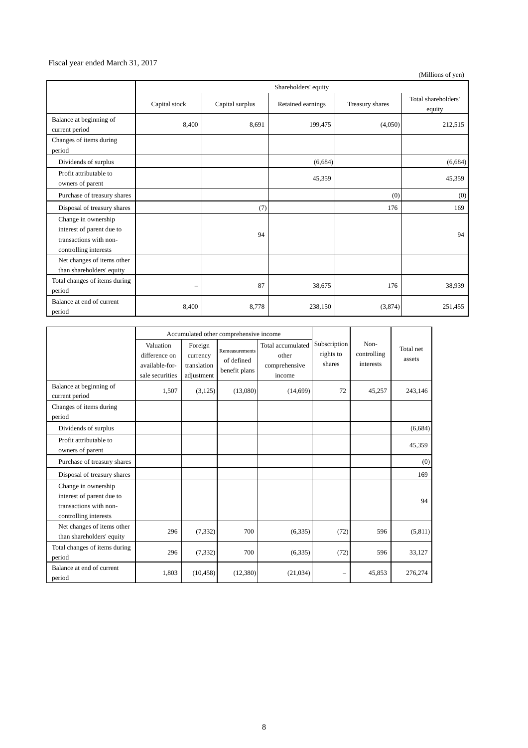#### Fiscal year ended March 31, 2017

(Millions of yen)

|                                                                                                     |                          | Shareholders' equity |                   |                 |                               |  |  |
|-----------------------------------------------------------------------------------------------------|--------------------------|----------------------|-------------------|-----------------|-------------------------------|--|--|
|                                                                                                     | Capital stock            | Capital surplus      | Retained earnings | Treasury shares | Total shareholders'<br>equity |  |  |
| Balance at beginning of<br>current period                                                           | 8,400                    | 8,691                | 199,475           | (4,050)         | 212,515                       |  |  |
| Changes of items during<br>period                                                                   |                          |                      |                   |                 |                               |  |  |
| Dividends of surplus                                                                                |                          |                      | (6,684)           |                 | (6,684)                       |  |  |
| Profit attributable to<br>owners of parent                                                          |                          |                      | 45,359            |                 | 45,359                        |  |  |
| Purchase of treasury shares                                                                         |                          |                      |                   | (0)             | (0)                           |  |  |
| Disposal of treasury shares                                                                         |                          | (7)                  |                   | 176             | 169                           |  |  |
| Change in ownership<br>interest of parent due to<br>transactions with non-<br>controlling interests |                          | 94                   |                   |                 | 94                            |  |  |
| Net changes of items other<br>than shareholders' equity                                             |                          |                      |                   |                 |                               |  |  |
| Total changes of items during<br>period                                                             | $\overline{\phantom{m}}$ | 87                   | 38,675            | 176             | 38,939                        |  |  |
| Balance at end of current<br>period                                                                 | 8,400                    | 8,778                | 238,150           | (3,874)         | 251,455                       |  |  |

|                                                                                                     |                                                                 | Accumulated other comprehensive income           |                                               |                                                       |                                     |                                  |                     |
|-----------------------------------------------------------------------------------------------------|-----------------------------------------------------------------|--------------------------------------------------|-----------------------------------------------|-------------------------------------------------------|-------------------------------------|----------------------------------|---------------------|
|                                                                                                     | Valuation<br>difference on<br>available-for-<br>sale securities | Foreign<br>currency<br>translation<br>adjustment | Remeasurements<br>of defined<br>benefit plans | Total accumulated<br>other<br>comprehensive<br>income | Subscription<br>rights to<br>shares | Non-<br>controlling<br>interests | Total net<br>assets |
| Balance at beginning of<br>current period                                                           | 1,507                                                           | (3,125)                                          | (13,080)                                      | (14,699)                                              | 72                                  | 45,257                           | 243,146             |
| Changes of items during<br>period                                                                   |                                                                 |                                                  |                                               |                                                       |                                     |                                  |                     |
| Dividends of surplus                                                                                |                                                                 |                                                  |                                               |                                                       |                                     |                                  | (6,684)             |
| Profit attributable to<br>owners of parent                                                          |                                                                 |                                                  |                                               |                                                       |                                     |                                  | 45,359              |
| Purchase of treasury shares                                                                         |                                                                 |                                                  |                                               |                                                       |                                     |                                  | (0)                 |
| Disposal of treasury shares                                                                         |                                                                 |                                                  |                                               |                                                       |                                     |                                  | 169                 |
| Change in ownership<br>interest of parent due to<br>transactions with non-<br>controlling interests |                                                                 |                                                  |                                               |                                                       |                                     |                                  | 94                  |
| Net changes of items other<br>than shareholders' equity                                             | 296                                                             | (7, 332)                                         | 700                                           | (6,335)                                               | (72)                                | 596                              | (5,811)             |
| Total changes of items during<br>period                                                             | 296                                                             | (7, 332)                                         | 700                                           | (6,335)                                               | (72)                                | 596                              | 33,127              |
| Balance at end of current<br>period                                                                 | 1.803                                                           | (10, 458)                                        | (12,380)                                      | (21,034)                                              |                                     | 45,853                           | 276,274             |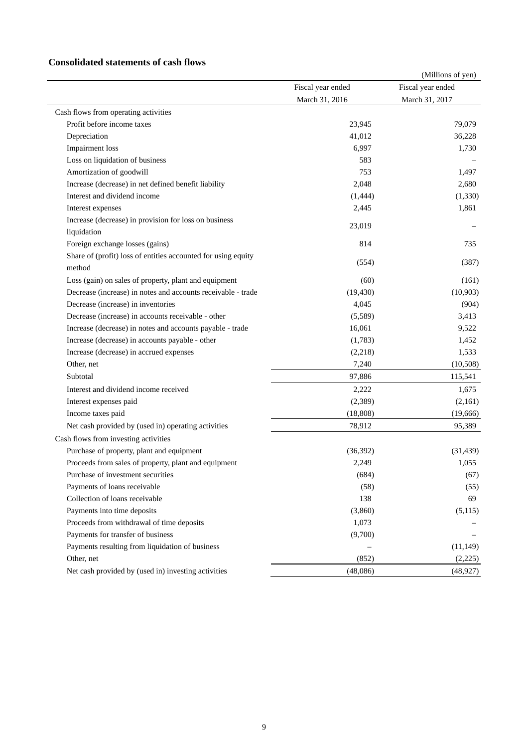#### **Consolidated statements of cash flows**

|                                                               |                   | (Millions of yen) |
|---------------------------------------------------------------|-------------------|-------------------|
|                                                               | Fiscal year ended | Fiscal year ended |
|                                                               | March 31, 2016    | March 31, 2017    |
| Cash flows from operating activities                          |                   |                   |
| Profit before income taxes                                    | 23,945            | 79,079            |
| Depreciation                                                  | 41,012            | 36,228            |
| <b>Impairment</b> loss                                        | 6,997             | 1,730             |
| Loss on liquidation of business                               | 583               |                   |
| Amortization of goodwill                                      | 753               | 1,497             |
| Increase (decrease) in net defined benefit liability          | 2,048             | 2,680             |
| Interest and dividend income                                  | (1, 444)          | (1, 330)          |
| Interest expenses                                             | 2,445             | 1,861             |
| Increase (decrease) in provision for loss on business         |                   |                   |
| liquidation                                                   | 23,019            |                   |
| Foreign exchange losses (gains)                               | 814               | 735               |
| Share of (profit) loss of entities accounted for using equity |                   |                   |
| method                                                        | (554)             | (387)             |
| Loss (gain) on sales of property, plant and equipment         | (60)              | (161)             |
| Decrease (increase) in notes and accounts receivable - trade  | (19, 430)         | (10, 903)         |
| Decrease (increase) in inventories                            | 4,045             | (904)             |
| Decrease (increase) in accounts receivable - other            | (5,589)           | 3,413             |
| Increase (decrease) in notes and accounts payable - trade     | 16,061            | 9,522             |
| Increase (decrease) in accounts payable - other               | (1,783)           | 1,452             |
| Increase (decrease) in accrued expenses                       | (2,218)           | 1,533             |
| Other, net                                                    | 7,240             | (10, 508)         |
| Subtotal                                                      | 97,886            | 115,541           |
| Interest and dividend income received                         | 2,222             | 1,675             |
| Interest expenses paid                                        | (2,389)           | (2,161)           |
| Income taxes paid                                             | (18, 808)         | (19,666)          |
| Net cash provided by (used in) operating activities           | 78,912            | 95,389            |
| Cash flows from investing activities                          |                   |                   |
| Purchase of property, plant and equipment                     | (36, 392)         | (31, 439)         |
| Proceeds from sales of property, plant and equipment          | 2,249             | 1,055             |
| Purchase of investment securities                             | (684)             | (67)              |
| Payments of loans receivable                                  | (58)              | (55)              |
| Collection of loans receivable                                | 138               | 69                |
| Payments into time deposits                                   | (3,860)           | (5,115)           |
| Proceeds from withdrawal of time deposits                     | 1,073             |                   |
| Payments for transfer of business                             | (9,700)           |                   |
| Payments resulting from liquidation of business               |                   | (11, 149)         |
| Other, net                                                    | (852)             | (2,225)           |
| Net cash provided by (used in) investing activities           | (48,086)          | (48, 927)         |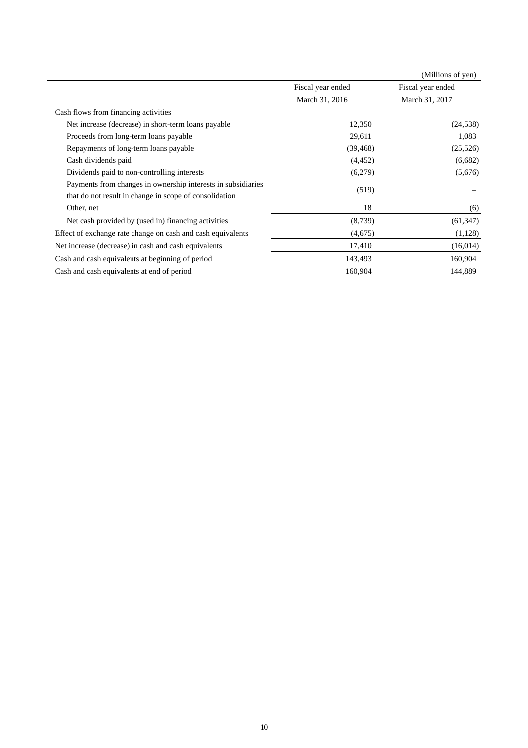|                                                              |                   | (Millions of yen) |
|--------------------------------------------------------------|-------------------|-------------------|
|                                                              | Fiscal year ended | Fiscal year ended |
|                                                              | March 31, 2016    | March 31, 2017    |
| Cash flows from financing activities                         |                   |                   |
| Net increase (decrease) in short-term loans payable          | 12,350            | (24, 538)         |
| Proceeds from long-term loans payable                        | 29,611            | 1,083             |
| Repayments of long-term loans payable                        | (39, 468)         | (25,526)          |
| Cash dividends paid                                          | (4, 452)          | (6,682)           |
| Dividends paid to non-controlling interests                  | (6,279)           | (5,676)           |
| Payments from changes in ownership interests in subsidiaries | (519)             |                   |
| that do not result in change in scope of consolidation       |                   |                   |
| Other, net                                                   | 18                | (6)               |
| Net cash provided by (used in) financing activities          | (8,739)           | (61, 347)         |
| Effect of exchange rate change on cash and cash equivalents  | (4,675)           | (1,128)           |
| Net increase (decrease) in cash and cash equivalents         | 17,410            | (16,014)          |
| Cash and cash equivalents at beginning of period             | 143,493           | 160,904           |
| Cash and cash equivalents at end of period                   | 160,904           | 144,889           |